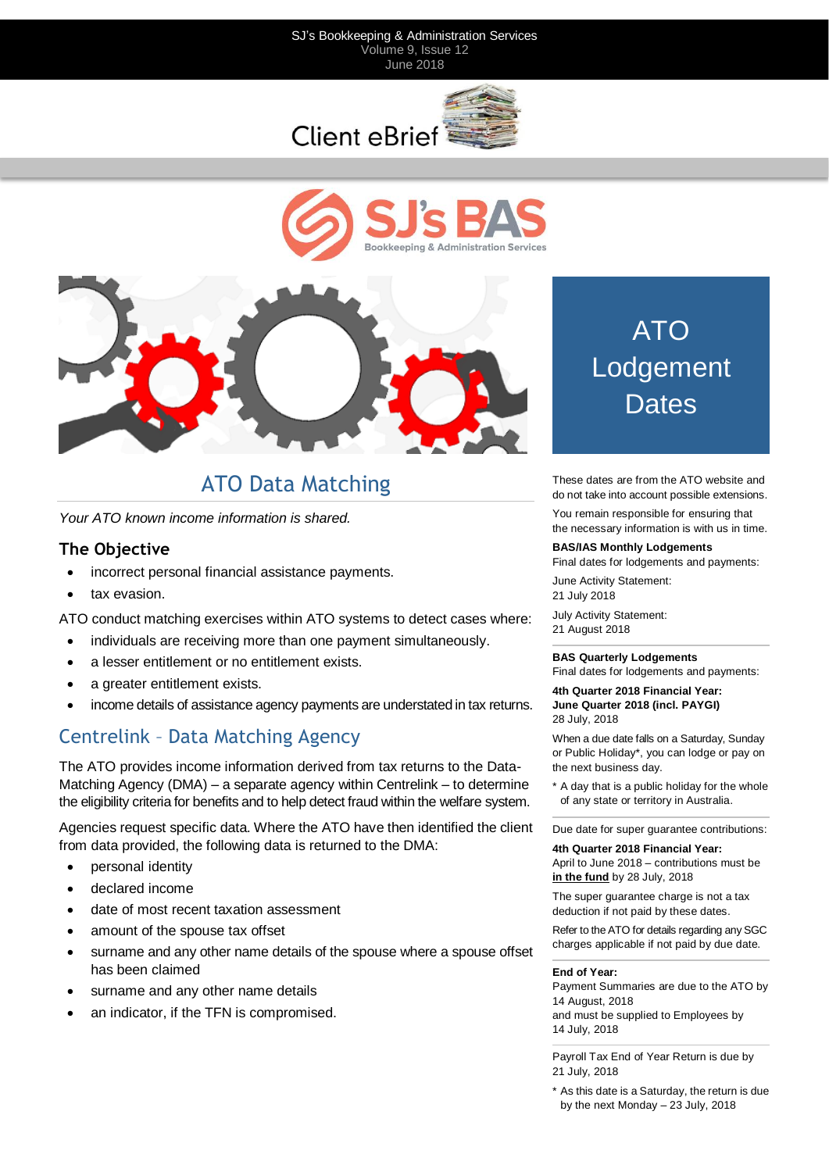#### SJ's Bookkeeping & Administration Services Volume 9, Issue 12 June 2018







# ATO Data Matching

*Your ATO known income information is shared.*

#### **The Objective**

- incorrect personal financial assistance payments.
- tax evasion.

ATO conduct matching exercises within ATO systems to detect cases where:

- individuals are receiving more than one payment simultaneously.
- a lesser entitlement or no entitlement exists.
- a greater entitlement exists.
- income details of assistance agency payments are understated in tax returns.

### Centrelink – Data Matching Agency

The ATO provides income information derived from tax returns to the Data-Matching Agency (DMA) – a separate agency within Centrelink – to determine the eligibility criteria for benefits and to help detect fraud within the welfare system.

Agencies request specific data. Where the ATO have then identified the client from data provided, the following data is returned to the DMA:

- personal identity
- declared income
- date of most recent taxation assessment
- amount of the spouse tax offset
- surname and any other name details of the spouse where a spouse offset has been claimed
- surname and any other name details
- an indicator, if the TFN is compromised.

# ATO Lodgement **Dates**

These dates are from the ATO website and do not take into account possible extensions.

You remain responsible for ensuring that the necessary information is with us in time.

#### **BAS/IAS Monthly Lodgements**

Final dates for lodgements and payments:

June Activity Statement: 21 July 2018

July Activity Statement: 21 August 2018

#### **BAS Quarterly Lodgements**

Final dates for lodgements and payments:

**4th Quarter 2018 Financial Year: June Quarter 2018 (incl. PAYGI)** 28 July, 2018

When a due date falls on a Saturday, Sunday or Public Holiday\*, you can lodge or pay on the next business day.

\* A day that is a public holiday for the whole of any state or territory in Australia.

Due date for super guarantee contributions:

**4th Quarter 2018 Financial Year:** April to June 2018 – contributions must be **in the fund** by 28 July, 2018

The super guarantee charge is not a tax deduction if not paid by these dates.

Refer to the ATO for details regarding any SGC charges applicable if not paid by due date.

#### **End of Year:**

Payment Summaries are due to the ATO by 14 August, 2018 and must be supplied to Employees by 14 July, 2018

Payroll Tax End of Year Return is due by 21 July, 2018

\* As this date is a Saturday, the return is due by the next Monday – 23 July, 2018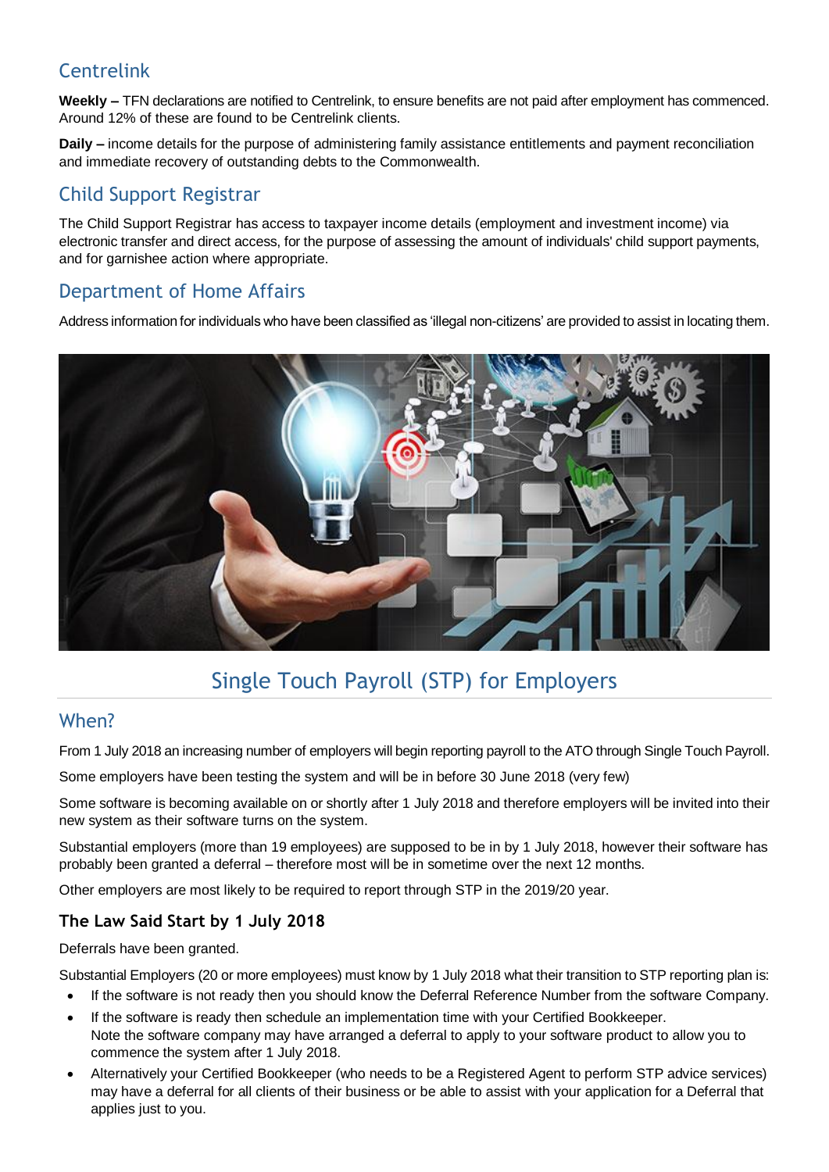## Centrelink

**Weekly –** TFN declarations are notified to Centrelink, to ensure benefits are not paid after employment has commenced. Around 12% of these are found to be Centrelink clients.

**Daily –** income details for the purpose of administering family assistance entitlements and payment reconciliation and immediate recovery of outstanding debts to the Commonwealth.

### Child Support Registrar

The Child Support Registrar has access to taxpayer income details (employment and investment income) via electronic transfer and direct access, for the purpose of assessing the amount of individuals' child support payments, and for garnishee action where appropriate.

# Department of Home Affairs

Address information for individuals who have been classified as 'illegal non-citizens' are provided to assist in locating them.



# Single Touch Payroll (STP) for Employers

### When?

From 1 July 2018 an increasing number of employers will begin reporting payroll to the ATO through Single Touch Payroll.

Some employers have been testing the system and will be in before 30 June 2018 (very few)

Some software is becoming available on or shortly after 1 July 2018 and therefore employers will be invited into their new system as their software turns on the system.

Substantial employers (more than 19 employees) are supposed to be in by 1 July 2018, however their software has probably been granted a deferral – therefore most will be in sometime over the next 12 months.

Other employers are most likely to be required to report through STP in the 2019/20 year.

#### **The Law Said Start by 1 July 2018**

Deferrals have been granted.

Substantial Employers (20 or more employees) must know by 1 July 2018 what their transition to STP reporting plan is:

- If the software is not ready then you should know the Deferral Reference Number from the software Company.
- If the software is ready then schedule an implementation time with your Certified Bookkeeper.
- Note the software company may have arranged a deferral to apply to your software product to allow you to commence the system after 1 July 2018.
- Alternatively your Certified Bookkeeper (who needs to be a Registered Agent to perform STP advice services) may have a deferral for all clients of their business or be able to assist with your application for a Deferral that applies just to you.